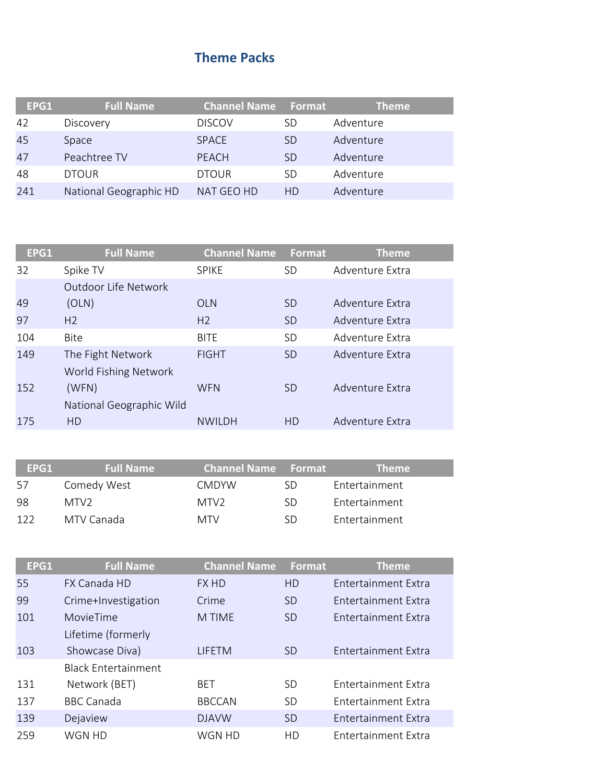## **Theme Packs**

| EPG1 | <b>Full Name</b>       | <b>Channel Name</b> | <b>Format</b> | Theme     |
|------|------------------------|---------------------|---------------|-----------|
| 42   | Discovery              | <b>DISCOV</b>       | SD            | Adventure |
| 45   | Space                  | <b>SPACE</b>        | SD.           | Adventure |
| 47   | Peachtree TV           | PEACH               | SD.           | Adventure |
| 48   | <b>DTOUR</b>           | <b>DTOUR</b>        | SD            | Adventure |
| 241  | National Geographic HD | NAT GEO HD          | HD            | Adventure |

| EPG1 | <b>Full Name</b>         | <b>Channel Name</b> | <b>Format</b> | <b>Theme</b>    |
|------|--------------------------|---------------------|---------------|-----------------|
| 32   | Spike TV                 | <b>SPIKE</b>        | <b>SD</b>     | Adventure Extra |
|      | Outdoor Life Network     |                     |               |                 |
| 49   | (OLN)                    | OIN                 | SD.           | Adventure Extra |
| 97   | H <sub>2</sub>           | H <sub>2</sub>      | <b>SD</b>     | Adventure Extra |
| 104  | <b>Bite</b>              | <b>BITE</b>         | <b>SD</b>     | Adventure Extra |
| 149  | The Fight Network        | <b>FIGHT</b>        | <b>SD</b>     | Adventure Extra |
|      | World Fishing Network    |                     |               |                 |
| 152  | (WFN)                    | <b>WFN</b>          | SD.           | Adventure Extra |
|      | National Geographic Wild |                     |               |                 |
| 175  | HD.                      | NWII DH             | HD            | Adventure Extra |

| EPG1 | <b>Full Name</b> | <b>Channel Name Format</b> |     | <b>Theme</b>  |
|------|------------------|----------------------------|-----|---------------|
| 57   | Comedy West      | <b>CMDYW</b>               | SD  | Entertainment |
| 98   | MTV <sub>2</sub> | MTV2                       | .SD | Entertainment |
| 122  | MTV Canada       | MTV                        | SD  | Entertainment |

| EPG1 | <b>Full Name</b>           | <b>Channel Name</b> | Format    | <b>Theme</b>               |
|------|----------------------------|---------------------|-----------|----------------------------|
| 55   | FX Canada HD               | <b>FX HD</b>        | <b>HD</b> | <b>Entertainment Extra</b> |
| 99   | Crime+Investigation        | Crime               | .SD       | <b>Entertainment Extra</b> |
| 101  | MovieTime                  | M TIMF              | <b>SD</b> | <b>Entertainment Extra</b> |
|      | Lifetime (formerly         |                     |           |                            |
| 103  | Showcase Diva)             | <b>LIFETM</b>       | <b>SD</b> | <b>Entertainment Extra</b> |
|      | <b>Black Entertainment</b> |                     |           |                            |
| 131  | Network (BET)              | <b>BFT</b>          | .SD       | <b>Entertainment Extra</b> |
| 137  | BBC Canada                 | <b>BBCCAN</b>       | <b>SD</b> | <b>Entertainment Extra</b> |
| 139  | Dejaview                   | <b>DJAVW</b>        | <b>SD</b> | <b>Entertainment Extra</b> |
| 259  | WGN HD                     | WGN HD              | HD        | <b>Entertainment Extra</b> |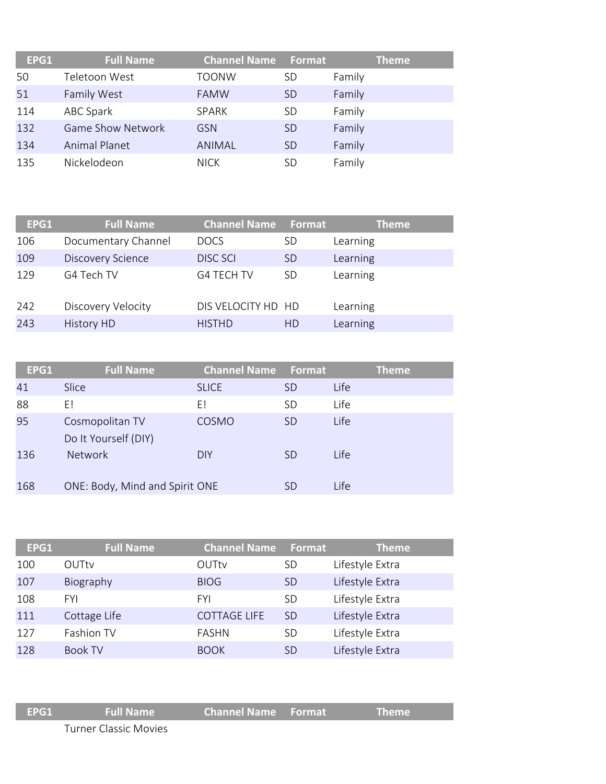| EPG1 | <b>Full Name</b>         | <b>Channel Name</b> | <b>Format</b> | Theme  |
|------|--------------------------|---------------------|---------------|--------|
| 50   | Teletoon West            | <b>TOONW</b>        | SD            | Family |
| 51   | <b>Family West</b>       | <b>FAMW</b>         | SD.           | Family |
| 114  | ABC Spark                | <b>SPARK</b>        | <b>SD</b>     | Family |
| 132  | <b>Game Show Network</b> | <b>GSN</b>          | SD            | Family |
| 134  | Animal Planet            | ANIMAL              | SD            | Family |
| 135  | Nickelodeon              | <b>NICK</b>         | SD            | Family |

| EPG1 | <b>Full Name</b>    | <b>Channel Name</b> | <b>Format</b> | <b>Theme</b> |
|------|---------------------|---------------------|---------------|--------------|
| 106  | Documentary Channel | <b>DOCS</b>         | SD            | Learning     |
| 109  | Discovery Science   | DISC SCI            | SD.           | Learning     |
| 129  | G4 Tech TV          | <b>G4 TECH TV</b>   | <b>SD</b>     | Learning     |
| 242  | Discovery Velocity  | DIS VELOCITY HD HD  |               | Learning     |
| 243  | History HD          | <b>HISTHD</b>       | HD.           | Learning     |

| EPG1 | <b>Full Name</b>                        | <b>Channel Name</b> | Format    | <b>Theme</b> |
|------|-----------------------------------------|---------------------|-----------|--------------|
| 41   | Slice                                   | <b>SLICE</b>        | <b>SD</b> | Life         |
| 88   | E!                                      | E!                  | SD        | Life         |
| 95   | Cosmopolitan TV<br>Do It Yourself (DIY) | COSMO               | <b>SD</b> | Life         |
| 136  | <b>Network</b>                          | <b>DIY</b>          | <b>SD</b> | Life         |
| 168  | ONE: Body, Mind and Spirit ONE          |                     | SD        | Life         |

| EPG1 | <b>Full Name</b> | <b>Channel Name</b> | Format    | <b>Theme</b>    |
|------|------------------|---------------------|-----------|-----------------|
| 100  | OUTtv            | OUTtv               | SD        | Lifestyle Extra |
| 107  | Biography        | <b>BIOG</b>         | <b>SD</b> | Lifestyle Extra |
| 108  | <b>FYI</b>       | <b>FYI</b>          | SD        | Lifestyle Extra |
| 111  | Cottage Life     | <b>COTTAGE LIFE</b> | <b>SD</b> | Lifestyle Extra |
| 127  | Fashion TV       | <b>FASHN</b>        | SD        | Lifestyle Extra |
| 128  | <b>Book TV</b>   | <b>BOOK</b>         | <b>SD</b> | Lifestyle Extra |

| ٣ |   |   |  |
|---|---|---|--|
|   |   |   |  |
|   | ٧ | v |  |
|   |   |   |  |

**EPG1 Full Name Channel Name Format Theme**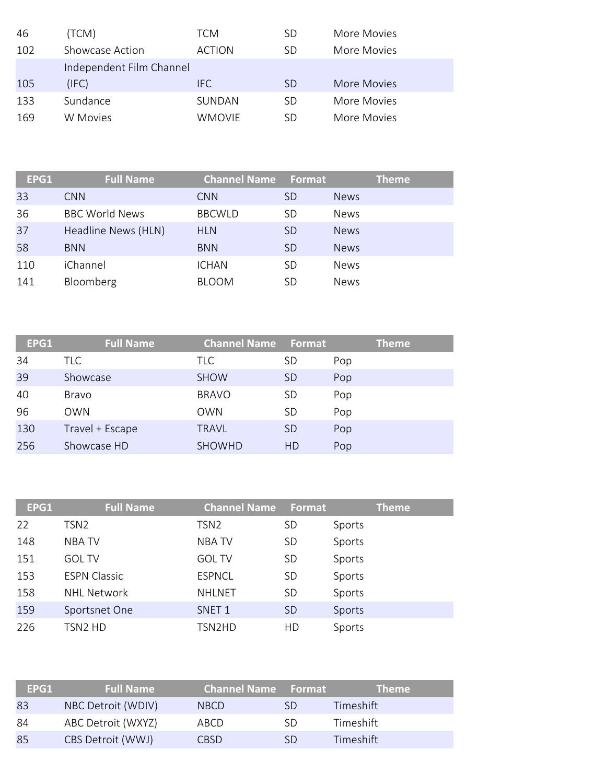| -46 | (TCM)                    | TCM           | SD | More Movies |
|-----|--------------------------|---------------|----|-------------|
| 102 | Showcase Action          | <b>ACTION</b> | SD | More Movies |
|     | Independent Film Channel |               |    |             |
| 105 | (IFC)                    | IFC.          | SD | More Movies |
| 133 | Sundance                 | SUNDAN        | SD | More Movies |
| 169 | W Movies                 | <b>WMOVIF</b> | SD | More Movies |
|     |                          |               |    |             |

| EPG1 | <b>Full Name</b>      | <b>Channel Name</b> | Format    | <b>Theme</b> |
|------|-----------------------|---------------------|-----------|--------------|
| 33   | <b>CNN</b>            | <b>CNN</b>          | <b>SD</b> | <b>News</b>  |
| 36   | <b>BBC World News</b> | <b>BBCWLD</b>       | SD        | <b>News</b>  |
| 37   | Headline News (HLN)   | <b>HLN</b>          | <b>SD</b> | <b>News</b>  |
| 58   | <b>BNN</b>            | <b>BNN</b>          | <b>SD</b> | <b>News</b>  |
| 110  | iChannel              | <b>ICHAN</b>        | SD        | <b>News</b>  |
| 141  | Bloomberg             | <b>BLOOM</b>        | SD        | <b>News</b>  |

| EPG1 | <b>Full Name</b> | <b>Channel Name</b> | <b>Format</b> | Theme |
|------|------------------|---------------------|---------------|-------|
| 34   | TLC.             | TLC.                | SD            | Pop   |
| 39   | Showcase         | <b>SHOW</b>         | <b>SD</b>     | Pop   |
| 40   | <b>Bravo</b>     | <b>BRAVO</b>        | SD            | Pop   |
| 96   | <b>OWN</b>       | <b>OWN</b>          | SD            | Pop   |
| 130  | Travel + Escape  | <b>TRAVL</b>        | <b>SD</b>     | Pop   |
| 256  | Showcase HD      | <b>SHOWHD</b>       | HD            | Pop   |

| EPG1 | Full Name           | <b>Channel Name</b> | <b>Format</b> | <b>Theme</b> |
|------|---------------------|---------------------|---------------|--------------|
| 22   | TSN2                | TSN <sub>2</sub>    | SD            | Sports       |
| 148  | NBA TV              | NBA TV              | SD            | Sports       |
| 151  | <b>GOL TV</b>       | <b>GOL TV</b>       | <b>SD</b>     | Sports       |
| 153  | <b>ESPN Classic</b> | <b>ESPNCL</b>       | SD            | Sports       |
| 158  | <b>NHL Network</b>  | <b>NHLNET</b>       | SD            | Sports       |
| 159  | Sportsnet One       | SNET 1              | <b>SD</b>     | Sports       |
| 226  | TSN2 HD             | TSN2HD              | HD            | Sports       |

| EPG1 | <b>Full Name</b>   | <b>Channel Name Format</b> |     | <b>Theme</b> |
|------|--------------------|----------------------------|-----|--------------|
| 83   | NBC Detroit (WDIV) | <b>NBCD</b>                | SD. | Timeshift    |
| 84   | ABC Detroit (WXYZ) | ABCD                       | SD. | Timeshift    |
| 85   | CBS Detroit (WWJ)  | <b>CBSD</b>                | SD. | Timeshift    |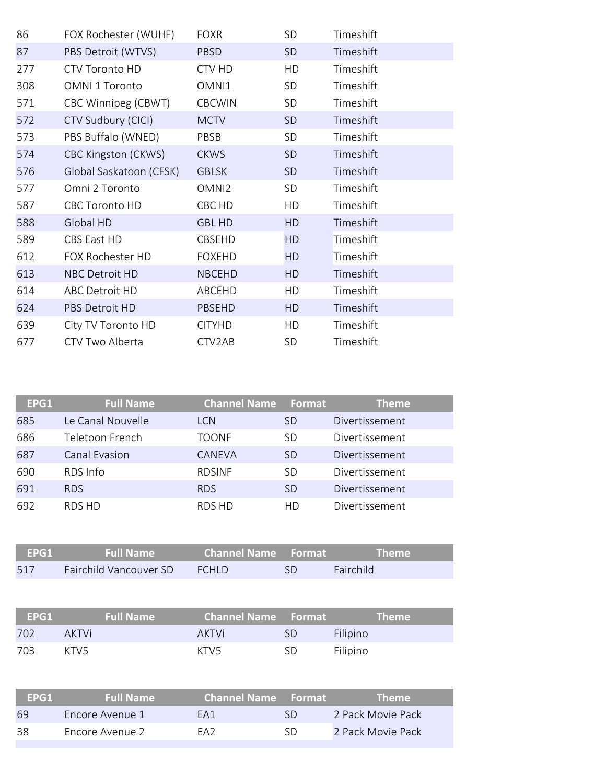| 86  | FOX Rochester (WUHF)    | <b>FOXR</b>       | <b>SD</b> | Timeshift |
|-----|-------------------------|-------------------|-----------|-----------|
| 87  | PBS Detroit (WTVS)      | <b>PBSD</b>       | <b>SD</b> | Timeshift |
| 277 | <b>CTV Toronto HD</b>   | <b>CTV HD</b>     | HD        | Timeshift |
| 308 | <b>OMNI 1 Toronto</b>   | OMNI1             | SD        | Timeshift |
| 571 | CBC Winnipeg (CBWT)     | <b>CBCWIN</b>     | <b>SD</b> | Timeshift |
| 572 | CTV Sudbury (CICI)      | <b>MCTV</b>       | <b>SD</b> | Timeshift |
| 573 | PBS Buffalo (WNED)      | PBSB              | SD        | Timeshift |
| 574 | CBC Kingston (CKWS)     | <b>CKWS</b>       | SD        | Timeshift |
| 576 | Global Saskatoon (CFSK) | <b>GBLSK</b>      | <b>SD</b> | Timeshift |
| 577 | Omni 2 Toronto          | OMN <sub>12</sub> | SD        | Timeshift |
| 587 | <b>CBC Toronto HD</b>   | CBC HD            | HD        | Timeshift |
| 588 | Global HD               | <b>GBL HD</b>     | HD        | Timeshift |
| 589 | CBS East HD             | <b>CBSEHD</b>     | <b>HD</b> | Timeshift |
| 612 | FOX Rochester HD        | <b>FOXEHD</b>     | HD        | Timeshift |
| 613 | NBC Detroit HD          | <b>NBCEHD</b>     | HD        | Timeshift |
| 614 | <b>ABC Detroit HD</b>   | ABCEHD            | HD        | Timeshift |
| 624 | PBS Detroit HD          | <b>PBSEHD</b>     | HD        | Timeshift |
| 639 | City TV Toronto HD      | <b>CITYHD</b>     | HD        | Timeshift |
| 677 | CTV Two Alberta         | CTV2AB            | SD        | Timeshift |

| EPG1 | <b>Full Name</b>  | <b>Channel Name</b> | Format    | <b>Theme</b>   |
|------|-------------------|---------------------|-----------|----------------|
| 685  | Le Canal Nouvelle | <b>LCN</b>          | <b>SD</b> | Divertissement |
| 686  | Teletoon French   | <b>TOONF</b>        | SD        | Divertissement |
| 687  | Canal Evasion     | CANEVA              | SD.       | Divertissement |
| 690  | RDS Info          | <b>RDSINF</b>       | SD        | Divertissement |
| 691  | RDS.              | <b>RDS</b>          | SD        | Divertissement |
| 692  | RDS HD            | RDS HD              | HD        | Divertissement |

| FPG1 | <b>Full Name</b>              | Channel Name Format | . Theme $\overline{\phantom{a}}$ |
|------|-------------------------------|---------------------|----------------------------------|
| 517  | <b>Fairchild Vancouver SD</b> | ECHI D.             | Fairchild                        |

| <b>LEPG1</b> |       | <b>Full Name</b> | <b>Channel Name Format</b> |    | <b>Theme</b> |
|--------------|-------|------------------|----------------------------|----|--------------|
| 702          | AKTVi |                  | AKTVi                      | SD | Filipino     |
| 703          | KTV5  |                  | KTV5                       | SD | Filipino     |

| EPG1 | <b>Full Name</b> | <b>Channel Name Format</b> |     | <b>Theme</b>      |
|------|------------------|----------------------------|-----|-------------------|
| 69   | Fncore Avenue 1  | FA1                        | SD. | 2 Pack Movie Pack |
| -38  | Fncore Avenue 2  | FA <sub>2</sub>            | SD. | 2 Pack Movie Pack |